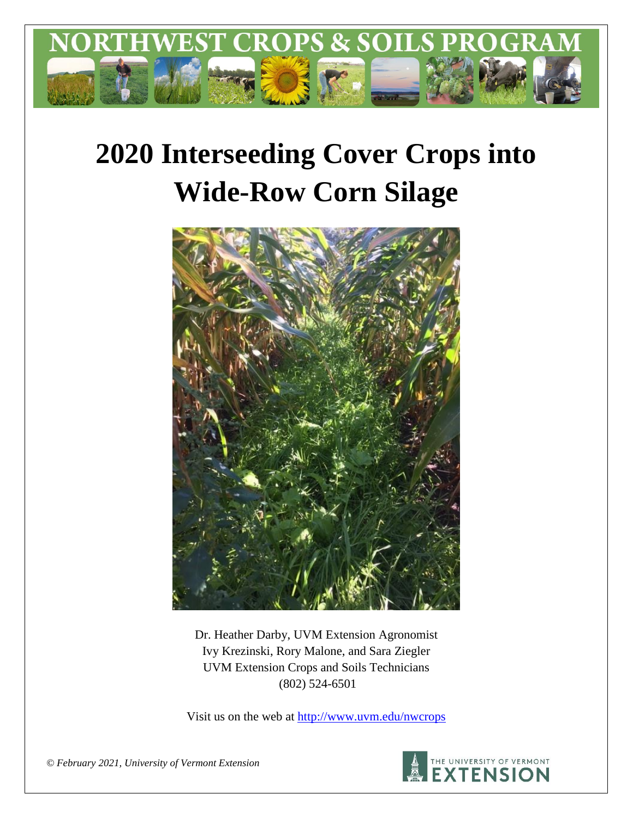

# **2020 Interseeding Cover Crops into Wide-Row Corn Silage**



Dr. Heather Darby, UVM Extension Agronomist Ivy Krezinski, Rory Malone, and Sara Ziegler UVM Extension Crops and Soils Technicians (802) 524-6501

Visit us on the web at <http://www.uvm.edu/nwcrops>



*© February 2021, University of Vermont Extension*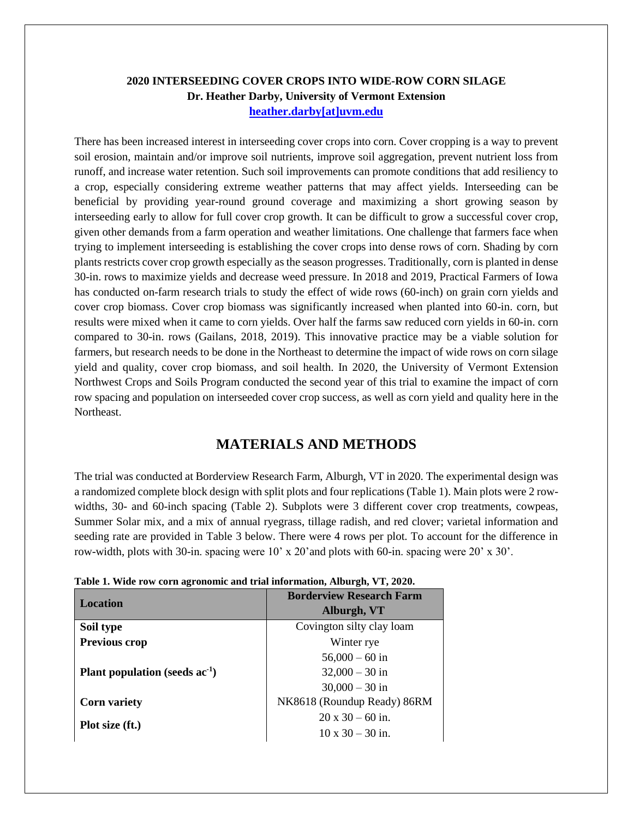## **2020 INTERSEEDING COVER CROPS INTO WIDE-ROW CORN SILAGE Dr. Heather Darby, University of Vermont Extension [heather.darby\[at\]uvm.edu](mailto:heather.darby@uvm.edu?subject=2013%20Long%20Season%20Corn%20Report)**

There has been increased interest in interseeding cover crops into corn. Cover cropping is a way to prevent soil erosion, maintain and/or improve soil nutrients, improve soil aggregation, prevent nutrient loss from runoff, and increase water retention. Such soil improvements can promote conditions that add resiliency to a crop, especially considering extreme weather patterns that may affect yields. Interseeding can be beneficial by providing year-round ground coverage and maximizing a short growing season by interseeding early to allow for full cover crop growth. It can be difficult to grow a successful cover crop, given other demands from a farm operation and weather limitations. One challenge that farmers face when trying to implement interseeding is establishing the cover crops into dense rows of corn. Shading by corn plants restricts cover crop growth especially as the season progresses. Traditionally, corn is planted in dense 30-in. rows to maximize yields and decrease weed pressure. In 2018 and 2019, Practical Farmers of Iowa has conducted on-farm research trials to study the effect of wide rows (60-inch) on grain corn yields and cover crop biomass. Cover crop biomass was significantly increased when planted into 60-in. corn, but results were mixed when it came to corn yields. Over half the farms saw reduced corn yields in 60-in. corn compared to 30-in. rows (Gailans, 2018, 2019). This innovative practice may be a viable solution for farmers, but research needs to be done in the Northeast to determine the impact of wide rows on corn silage yield and quality, cover crop biomass, and soil health. In 2020, the University of Vermont Extension Northwest Crops and Soils Program conducted the second year of this trial to examine the impact of corn row spacing and population on interseeded cover crop success, as well as corn yield and quality here in the Northeast.

# **MATERIALS AND METHODS**

The trial was conducted at Borderview Research Farm, Alburgh, VT in 2020. The experimental design was a randomized complete block design with split plots and four replications (Table 1). Main plots were 2 rowwidths, 30- and 60-inch spacing (Table 2). Subplots were 3 different cover crop treatments, cowpeas, Summer Solar mix, and a mix of annual ryegrass, tillage radish, and red clover; varietal information and seeding rate are provided in Table 3 below. There were 4 rows per plot. To account for the difference in row-width, plots with 30-in. spacing were 10' x 20'and plots with 60-in. spacing were 20' x 30'.

| <b>Location</b>                     | <b>Borderview Research Farm</b> |  |  |
|-------------------------------------|---------------------------------|--|--|
|                                     | Alburgh, VT                     |  |  |
| Soil type                           | Covington silty clay loam       |  |  |
| Previous crop                       | Winter rye                      |  |  |
|                                     | $56,000 - 60$ in                |  |  |
| Plant population (seeds $ac^{-1}$ ) | $32,000 - 30$ in                |  |  |
|                                     | $30,000 - 30$ in                |  |  |
| <b>Corn variety</b>                 | NK8618 (Roundup Ready) 86RM     |  |  |
| Plot size (ft.)                     | $20 \times 30 - 60$ in.         |  |  |
|                                     | $10 \times 30 - 30$ in.         |  |  |

|  |  | Table 1. Wide row corn agronomic and trial information, Alburgh, VT, 2020. |  |
|--|--|----------------------------------------------------------------------------|--|
|  |  |                                                                            |  |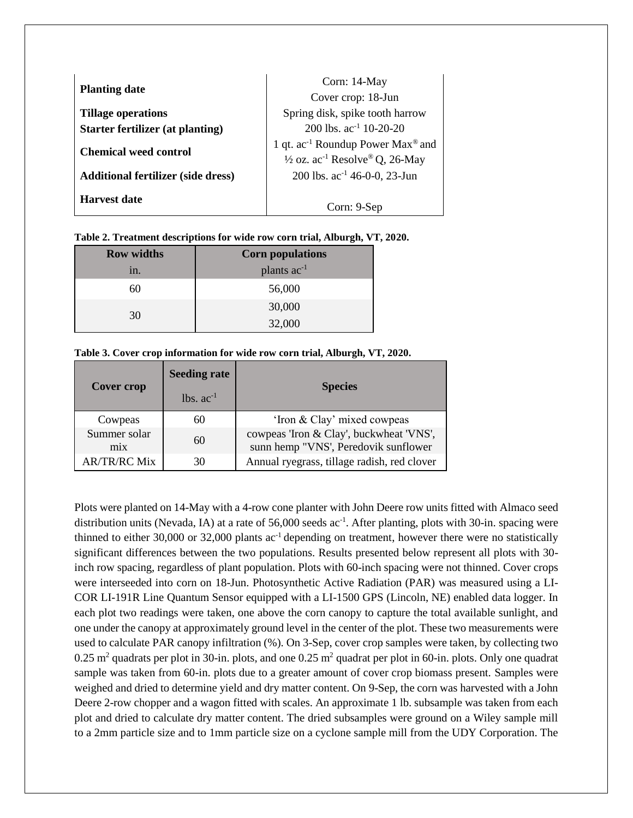| <b>Planting date</b>                      | Corn: 14-May<br>Cover crop: 18-Jun                                                                                 |
|-------------------------------------------|--------------------------------------------------------------------------------------------------------------------|
| <b>Tillage operations</b>                 | Spring disk, spike tooth harrow                                                                                    |
| Starter fertilizer (at planting)          | 200 lbs. $ac^{-1}$ 10-20-20                                                                                        |
| <b>Chemical weed control</b>              | 1 qt. ac <sup>-1</sup> Roundup Power Max <sup>®</sup> and<br>$\frac{1}{2}$ oz. ac <sup>-1</sup> Resolve® Q, 26-May |
| <b>Additional fertilizer (side dress)</b> | 200 lbs. ac <sup>-1</sup> 46-0-0, 23-Jun                                                                           |
| Harvest date                              | Corn: 9-Sep                                                                                                        |

| Table 2. Treatment descriptions for wide row corn trial, Alburgh, VT, 2020. |  |  |
|-----------------------------------------------------------------------------|--|--|
|                                                                             |  |  |

| <b>Row widths</b> | <b>Corn populations</b> |
|-------------------|-------------------------|
| 1n.               | plants ac <sup>-1</sup> |
|                   | 56,000                  |
|                   | 30,000                  |
| 30                | 32,000                  |

| Table 3. Cover crop information for wide row corn trial, Alburgh, VT, 2020. |  |  |  |  |
|-----------------------------------------------------------------------------|--|--|--|--|
|-----------------------------------------------------------------------------|--|--|--|--|

| Cover crop          | <b>Seeding rate</b> | <b>Species</b>                                                                  |  |  |  |
|---------------------|---------------------|---------------------------------------------------------------------------------|--|--|--|
|                     | $lbs$ , $ac^{-1}$   |                                                                                 |  |  |  |
| Cowpeas             | 60                  | 'Iron & Clay' mixed cowpeas                                                     |  |  |  |
| Summer solar<br>mix | 60                  | cowpeas 'Iron & Clay', buckwheat 'VNS',<br>sunn hemp "VNS', Peredovik sunflower |  |  |  |
| <b>AR/TR/RC Mix</b> | 30                  | Annual ryegrass, tillage radish, red clover                                     |  |  |  |

Plots were planted on 14-May with a 4-row cone planter with John Deere row units fitted with Almaco seed distribution units (Nevada, IA) at a rate of 56,000 seeds  $ac^{-1}$ . After planting, plots with 30-in. spacing were thinned to either 30,000 or 32,000 plants  $ac^{-1}$  depending on treatment, however there were no statistically significant differences between the two populations. Results presented below represent all plots with 30 inch row spacing, regardless of plant population. Plots with 60-inch spacing were not thinned. Cover crops were interseeded into corn on 18-Jun. Photosynthetic Active Radiation (PAR) was measured using a LI-COR LI-191R Line Quantum Sensor equipped with a LI-1500 GPS (Lincoln, NE) enabled data logger. In each plot two readings were taken, one above the corn canopy to capture the total available sunlight, and one under the canopy at approximately ground level in the center of the plot. These two measurements were used to calculate PAR canopy infiltration (%). On 3-Sep, cover crop samples were taken, by collecting two 0.25  $\text{m}^2$  quadrats per plot in 30-in. plots, and one 0.25  $\text{m}^2$  quadrat per plot in 60-in. plots. Only one quadrat sample was taken from 60-in. plots due to a greater amount of cover crop biomass present. Samples were weighed and dried to determine yield and dry matter content. On 9-Sep, the corn was harvested with a John Deere 2-row chopper and a wagon fitted with scales. An approximate 1 lb. subsample was taken from each plot and dried to calculate dry matter content. The dried subsamples were ground on a Wiley sample mill to a 2mm particle size and to 1mm particle size on a cyclone sample mill from the UDY Corporation. The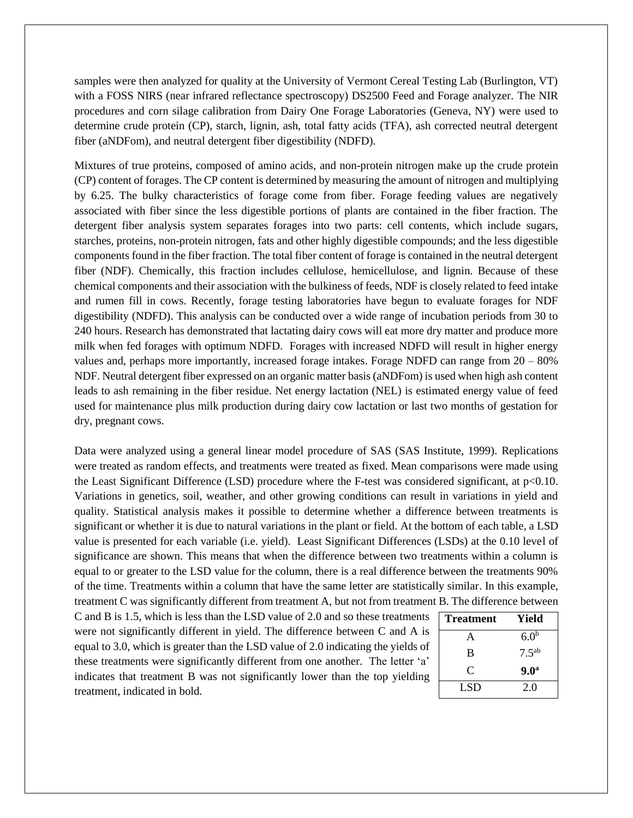samples were then analyzed for quality at the University of Vermont Cereal Testing Lab (Burlington, VT) with a FOSS NIRS (near infrared reflectance spectroscopy) DS2500 Feed and Forage analyzer. The NIR procedures and corn silage calibration from Dairy One Forage Laboratories (Geneva, NY) were used to determine crude protein (CP), starch, lignin, ash, total fatty acids (TFA), ash corrected neutral detergent fiber (aNDFom), and neutral detergent fiber digestibility (NDFD).

Mixtures of true proteins, composed of amino acids, and non-protein nitrogen make up the crude protein (CP) content of forages. The CP content is determined by measuring the amount of nitrogen and multiplying by 6.25. The bulky characteristics of forage come from fiber. Forage feeding values are negatively associated with fiber since the less digestible portions of plants are contained in the fiber fraction. The detergent fiber analysis system separates forages into two parts: cell contents, which include sugars, starches, proteins, non-protein nitrogen, fats and other highly digestible compounds; and the less digestible components found in the fiber fraction. The total fiber content of forage is contained in the neutral detergent fiber (NDF). Chemically, this fraction includes cellulose, hemicellulose, and lignin. Because of these chemical components and their association with the bulkiness of feeds, NDF is closely related to feed intake and rumen fill in cows. Recently, forage testing laboratories have begun to evaluate forages for NDF digestibility (NDFD). This analysis can be conducted over a wide range of incubation periods from 30 to 240 hours. Research has demonstrated that lactating dairy cows will eat more dry matter and produce more milk when fed forages with optimum NDFD. Forages with increased NDFD will result in higher energy values and, perhaps more importantly, increased forage intakes. Forage NDFD can range from  $20 - 80\%$ NDF. Neutral detergent fiber expressed on an organic matter basis (aNDFom) is used when high ash content leads to ash remaining in the fiber residue. Net energy lactation (NEL) is estimated energy value of feed used for maintenance plus milk production during dairy cow lactation or last two months of gestation for dry, pregnant cows.

Data were analyzed using a general linear model procedure of SAS (SAS Institute, 1999). Replications were treated as random effects, and treatments were treated as fixed. Mean comparisons were made using the Least Significant Difference (LSD) procedure where the F-test was considered significant, at p<0.10. Variations in genetics, soil, weather, and other growing conditions can result in variations in yield and quality. Statistical analysis makes it possible to determine whether a difference between treatments is significant or whether it is due to natural variations in the plant or field. At the bottom of each table, a LSD value is presented for each variable (i.e. yield). Least Significant Differences (LSDs) at the 0.10 level of significance are shown. This means that when the difference between two treatments within a column is equal to or greater to the LSD value for the column, there is a real difference between the treatments 90% of the time. Treatments within a column that have the same letter are statistically similar. In this example, treatment C was significantly different from treatment A, but not from treatment B. The difference between

C and B is 1.5, which is less than the LSD value of 2.0 and so these treatments were not significantly different in yield. The difference between C and A is equal to 3.0, which is greater than the LSD value of 2.0 indicating the yields of these treatments were significantly different from one another. The letter 'a' indicates that treatment B was not significantly lower than the top yielding treatment, indicated in bold.

| Treatment | Yield            |
|-----------|------------------|
| A         | 6.0 <sup>b</sup> |
| B         | $7.5^{ab}$       |
| C         | 9.0 <sup>a</sup> |
| LSD       | 2.0              |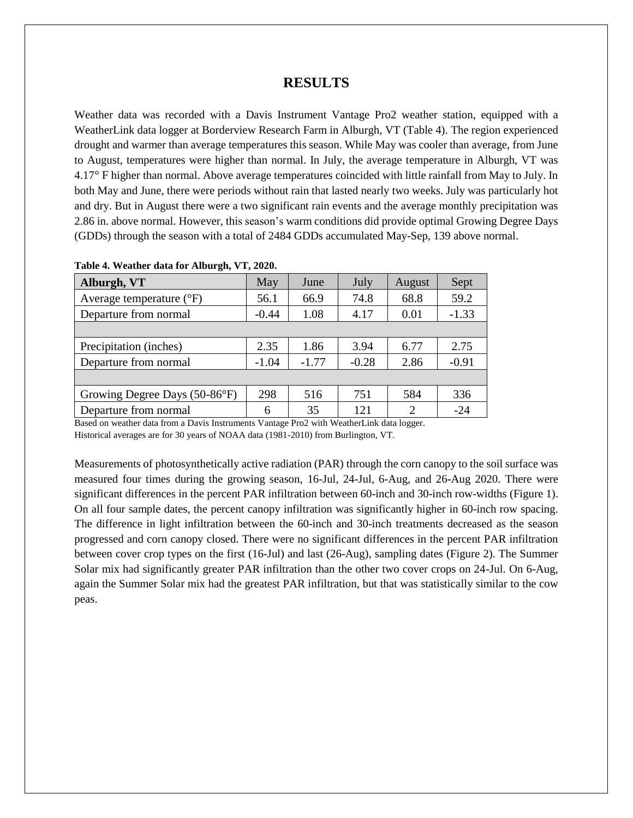## **RESULTS**

Weather data was recorded with a Davis Instrument Vantage Pro2 weather station, equipped with a WeatherLink data logger at Borderview Research Farm in Alburgh, VT (Table 4). The region experienced drought and warmer than average temperatures this season. While May was cooler than average, from June to August, temperatures were higher than normal. In July, the average temperature in Alburgh, VT was 4.17° F higher than normal. Above average temperatures coincided with little rainfall from May to July. In both May and June, there were periods without rain that lasted nearly two weeks. July was particularly hot and dry. But in August there were a two significant rain events and the average monthly precipitation was 2.86 in. above normal. However, this season's warm conditions did provide optimal Growing Degree Days (GDDs) through the season with a total of 2484 GDDs accumulated May-Sep, 139 above normal.

| Alburgh, VT                       | May     | June    | July    | August | Sept    |
|-----------------------------------|---------|---------|---------|--------|---------|
| Average temperature $(^{\circ}F)$ | 56.1    | 66.9    | 74.8    | 68.8   | 59.2    |
| Departure from normal             | $-0.44$ | 1.08    | 4.17    | 0.01   | $-1.33$ |
|                                   |         |         |         |        |         |
| Precipitation (inches)            | 2.35    | 1.86    | 3.94    | 6.77   | 2.75    |
| Departure from normal             | $-1.04$ | $-1.77$ | $-0.28$ | 2.86   | $-0.91$ |
|                                   |         |         |         |        |         |
| Growing Degree Days (50-86°F)     | 298     | 516     | 751     | 584    | 336     |
| Departure from normal             | 6       | 35      | 121     | ◠      | $-24$   |

**Table 4. Weather data for Alburgh, VT, 2020.**

Based on weather data from a Davis Instruments Vantage Pro2 with WeatherLink data logger.

Historical averages are for 30 years of NOAA data (1981-2010) from Burlington, VT.

Measurements of photosynthetically active radiation (PAR) through the corn canopy to the soil surface was measured four times during the growing season, 16-Jul, 24-Jul, 6-Aug, and 26-Aug 2020. There were significant differences in the percent PAR infiltration between 60-inch and 30-inch row-widths (Figure 1). On all four sample dates, the percent canopy infiltration was significantly higher in 60-inch row spacing. The difference in light infiltration between the 60-inch and 30-inch treatments decreased as the season progressed and corn canopy closed. There were no significant differences in the percent PAR infiltration between cover crop types on the first (16-Jul) and last (26-Aug), sampling dates (Figure 2). The Summer Solar mix had significantly greater PAR infiltration than the other two cover crops on 24-Jul. On 6-Aug, again the Summer Solar mix had the greatest PAR infiltration, but that was statistically similar to the cow peas.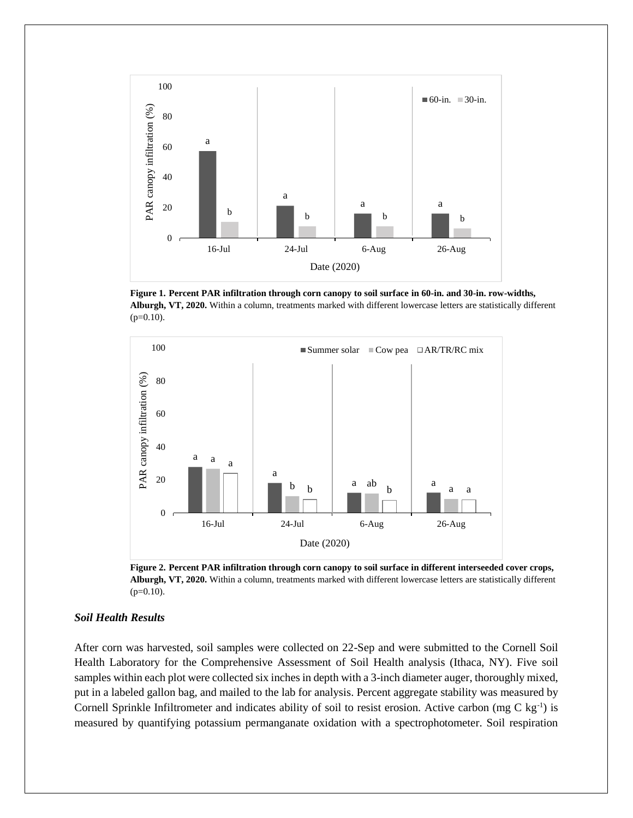

**Figure 1. Percent PAR infiltration through corn canopy to soil surface in 60-in. and 30-in. row-widths, Alburgh, VT, 2020.** Within a column, treatments marked with different lowercase letters are statistically different (p=0.10).



**Figure 2. Percent PAR infiltration through corn canopy to soil surface in different interseeded cover crops, Alburgh, VT, 2020.** Within a column, treatments marked with different lowercase letters are statistically different  $(p=0.10)$ .

## *Soil Health Results*

After corn was harvested, soil samples were collected on 22-Sep and were submitted to the Cornell Soil Health Laboratory for the Comprehensive Assessment of Soil Health analysis (Ithaca, NY). Five soil samples within each plot were collected six inches in depth with a 3-inch diameter auger, thoroughly mixed, put in a labeled gallon bag, and mailed to the lab for analysis. Percent aggregate stability was measured by Cornell Sprinkle Infiltrometer and indicates ability of soil to resist erosion. Active carbon (mg C kg<sup>-1</sup>) is measured by quantifying potassium permanganate oxidation with a spectrophotometer. Soil respiration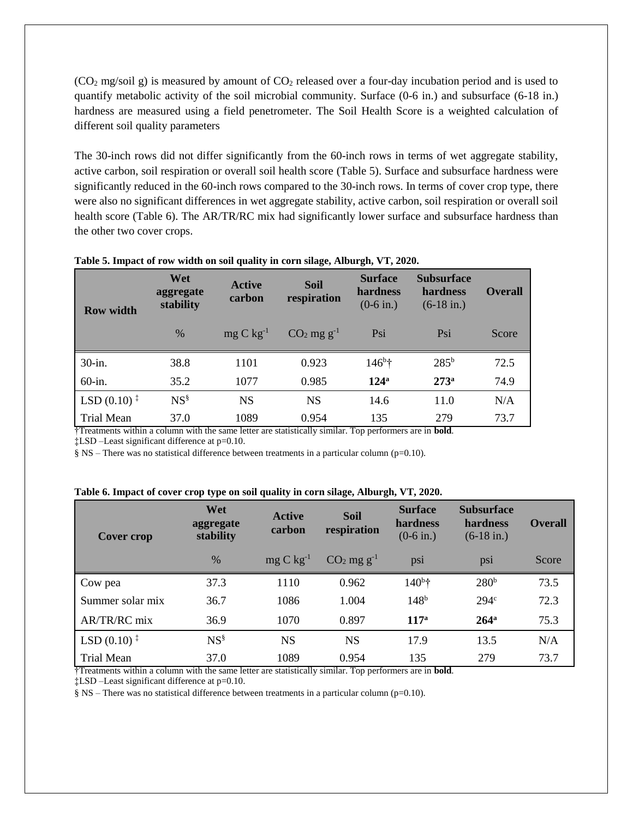$(CO<sub>2</sub> mg/soil g)$  is measured by amount of  $CO<sub>2</sub>$  released over a four-day incubation period and is used to quantify metabolic activity of the soil microbial community. Surface (0-6 in.) and subsurface (6-18 in.) hardness are measured using a field penetrometer. The Soil Health Score is a weighted calculation of different soil quality parameters

The 30-inch rows did not differ significantly from the 60-inch rows in terms of wet aggregate stability, active carbon, soil respiration or overall soil health score (Table 5). Surface and subsurface hardness were significantly reduced in the 60-inch rows compared to the 30-inch rows. In terms of cover crop type, there were also no significant differences in wet aggregate stability, active carbon, soil respiration or overall soil health score (Table 6). The AR/TR/RC mix had significantly lower surface and subsurface hardness than the other two cover crops.

| <b>Row width</b>                                           | Wet<br>aggregate<br>stability | <b>Active</b><br>carbon          | <b>Soil</b><br>respiration                            | <b>Surface</b><br>hardness<br>$(0-6$ in.) | <b>Subsurface</b><br>hardness<br>$(6-18$ in.) | <b>Overall</b> |
|------------------------------------------------------------|-------------------------------|----------------------------------|-------------------------------------------------------|-------------------------------------------|-----------------------------------------------|----------------|
|                                                            | $\frac{0}{0}$                 | $mg C kg^{-1}$                   | $CO2$ mg g <sup>-1</sup>                              | Psi                                       | Psi                                           | Score          |
| 30-in.                                                     | 38.8                          | 1101                             | 0.923                                                 | $146^{\circ}$ †                           | 285 <sup>b</sup>                              | 72.5           |
| 60-in.                                                     | 35.2                          | 1077                             | 0.985                                                 | 124 <sup>a</sup>                          | 273 <sup>a</sup>                              | 74.9           |
| LSD $(0.10)^{\ddagger}$                                    | $NS^{\S}$                     | <b>NS</b>                        | <b>NS</b>                                             | 14.6                                      | 11.0                                          | N/A            |
| <b>Trial Mean</b><br>$\overline{\phantom{a}}$<br>$\cdot$ . | 37.0<br>$\cdot$ $\cdot$       | 1089<br>$\overline{\phantom{a}}$ | 0.954<br>$\cdot$ $\cdot$ $\cdot$<br>$\cdots$ $\cdots$ | 135<br>r<br>j                             | 279<br>.                                      | 73.7           |

#### **Table 5. Impact of row width on soil quality in corn silage, Alburgh, VT, 2020.**

†Treatments within a column with the same letter are statistically similar. Top performers are in **bold**.

‡LSD –Least significant difference at p=0.10.

§ NS – There was no statistical difference between treatments in a particular column (p=0.10).

|  |  | Table 6. Impact of cover crop type on soil quality in corn silage, Alburgh, VT, 2020. |  |  |
|--|--|---------------------------------------------------------------------------------------|--|--|
|  |  |                                                                                       |  |  |

| Cover crop                                    | Wet<br>aggregate<br>stability | <b>Active</b><br>carbon | <b>Soil</b><br>respiration | <b>Surface</b><br>hardness<br>$(0-6$ in.) | <b>Subsurface</b><br>hardness<br>$(6-18$ in.) | <b>Overall</b> |
|-----------------------------------------------|-------------------------------|-------------------------|----------------------------|-------------------------------------------|-----------------------------------------------|----------------|
|                                               | $\%$                          | $mg C kg^{-1}$          | $CO2$ mg g <sup>-1</sup>   | psi                                       | psi                                           | Score          |
| Cow pea                                       | 37.3                          | 1110                    | 0.962                      | $140^{\rm b}$ †                           | 280 <sup>b</sup>                              | 73.5           |
| Summer solar mix                              | 36.7                          | 1086                    | 1.004                      | 148 <sup>b</sup>                          | 294 <sup>c</sup>                              | 72.3           |
| AR/TR/RC mix                                  | 36.9                          | 1070                    | 0.897                      | 117 <sup>a</sup>                          | $264^{\mathrm{a}}$                            | 75.3           |
| LSD $(0.10)$ <sup><math>\ddagger</math></sup> | $NS^{\S}$                     | <b>NS</b>               | <b>NS</b>                  | 17.9                                      | 13.5                                          | N/A            |
| <b>Trial Mean</b><br>$\overline{\phantom{a}}$ | 37.0                          | 1089                    | 0.954                      | 135<br>--                                 | 279                                           | 73.7           |

†Treatments within a column with the same letter are statistically similar. Top performers are in **bold**.

‡LSD –Least significant difference at p=0.10.

§ NS – There was no statistical difference between treatments in a particular column (p=0.10).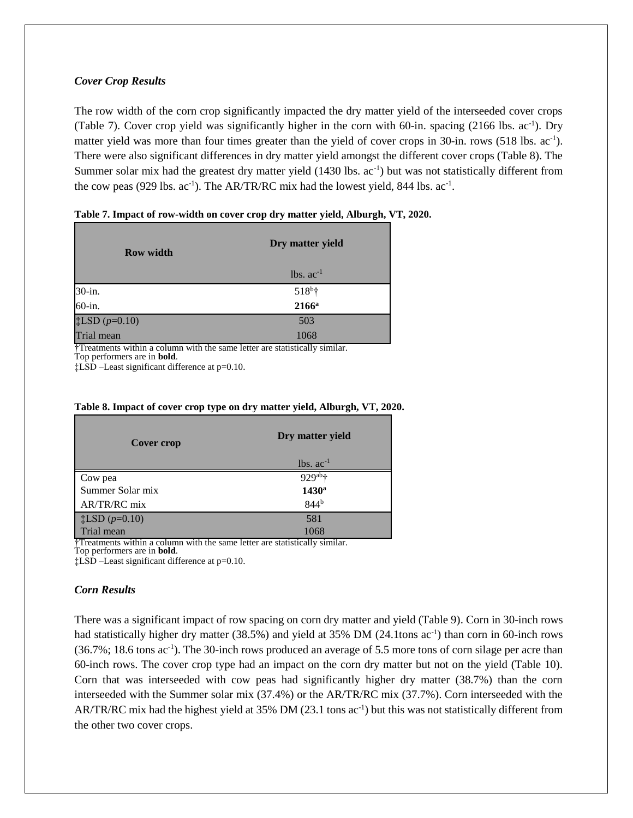## *Cover Crop Results*

The row width of the corn crop significantly impacted the dry matter yield of the interseeded cover crops (Table 7). Cover crop yield was significantly higher in the corn with 60-in. spacing (2166 lbs. ac<sup>-1</sup>). Dry matter yield was more than four times greater than the yield of cover crops in 30-in. rows (518 lbs. ac<sup>-1</sup>). There were also significant differences in dry matter yield amongst the different cover crops (Table 8). The Summer solar mix had the greatest dry matter yield (1430 lbs. ac<sup>-1</sup>) but was not statistically different from the cow peas (929 lbs.  $ac^{-1}$ ). The AR/TR/RC mix had the lowest yield, 844 lbs.  $ac^{-1}$ .

| <b>Row width</b>                      | Dry matter yield |
|---------------------------------------|------------------|
|                                       | $lbs. ac-1$      |
| 30-in.                                | $518^{b}$ †      |
| $60$ -in.                             | $2166^a$         |
| $\ddagger$ LSD (p=0.10)<br>Trial mean | 503              |
|                                       | 1068             |

**Table 7. Impact of row-width on cover crop dry matter yield, Alburgh, VT, 2020.**

†Treatments within a column with the same letter are statistically similar.

Top performers are in **bold**.

‡LSD –Least significant difference at p=0.10.

| Cover crop              | Dry matter yield                 |
|-------------------------|----------------------------------|
|                         | $lbs. ac^{-1}$                   |
| Cow pea                 | $929$ <sup>ab</sup> <sup>†</sup> |
| Summer Solar mix        | 1430 <sup>a</sup>                |
| AR/TR/RC mix            | 844 <sup>b</sup>                 |
| $\ddagger$ LSD (p=0.10) | 581                              |
| Trial mean              | 1068                             |

### **Table 8. Impact of cover crop type on dry matter yield, Alburgh, VT, 2020.**

†Treatments within a column with the same letter are statistically similar.

Top performers are in **bold**.

‡LSD –Least significant difference at p=0.10.

#### *Corn Results*

There was a significant impact of row spacing on corn dry matter and yield (Table 9). Corn in 30-inch rows had statistically higher dry matter (38.5%) and yield at 35% DM (24.1tons ac<sup>-1</sup>) than corn in 60-inch rows (36.7%; 18.6 tons ac<sup>-1</sup>). The 30-inch rows produced an average of 5.5 more tons of corn silage per acre than 60-inch rows. The cover crop type had an impact on the corn dry matter but not on the yield (Table 10). Corn that was interseeded with cow peas had significantly higher dry matter (38.7%) than the corn interseeded with the Summer solar mix (37.4%) or the AR/TR/RC mix (37.7%). Corn interseeded with the AR/TR/RC mix had the highest yield at 35% DM (23.1 tons ac<sup>-1</sup>) but this was not statistically different from the other two cover crops.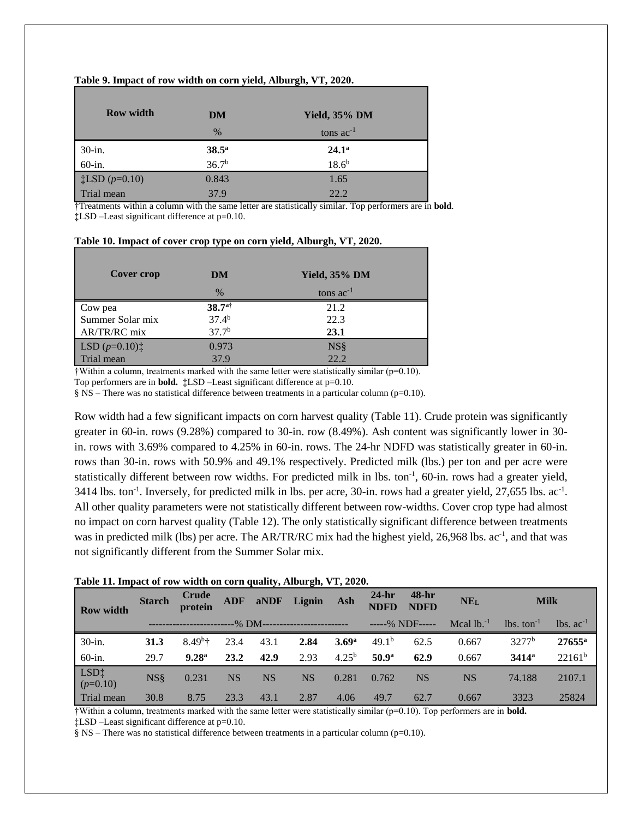#### **Table 9. Impact of row width on corn yield, Alburgh, VT, 2020.**

| <b>Row width</b>                    | DM                | <b>Yield, 35% DM</b> |
|-------------------------------------|-------------------|----------------------|
|                                     | $\%$              | tons $ac^{-1}$       |
| $30$ -in.                           | $38.5^{\rm a}$    | $24.1^{\circ}$       |
| $60$ -in.                           | 36.7 <sup>b</sup> | $18.6^{b}$           |
| $\frac{1}{2}$ LSD ( <i>p</i> =0.10) | 0.843             | 1.65                 |
| Trial mean                          | 37.9              | 22.2                 |

†Treatments within a column with the same letter are statistically similar. Top performers are in **bold**. ‡LSD –Least significant difference at p=0.10.

| Cover crop                                     | DM                   | Yield, 35% DM  |  |
|------------------------------------------------|----------------------|----------------|--|
|                                                | $\frac{0}{0}$        | tons $ac^{-1}$ |  |
| Cow pea                                        | $38.7$ <sup>a†</sup> | 21.2           |  |
| Summer Solar mix                               | 37.4 <sup>b</sup>    | 22.3           |  |
| AR/TR/RC mix                                   | 37.7 <sup>b</sup>    | 23.1           |  |
| LSD $(p=0.10)$ <sup><math>\dagger</math></sup> | 0.973                | $NS\$          |  |
| Trial mean                                     | 37.9                 | 22.2           |  |

#### **Table 10. Impact of cover crop type on corn yield, Alburgh, VT, 2020.**

 $\dagger$ Within a column, treatments marked with the same letter were statistically similar ( $p=0.10$ ). Top performers are in **bold.**  $\ddagger$ LSD –Least significant difference at p=0.10.

§ NS – There was no statistical difference between treatments in a particular column (p=0.10).

Row width had a few significant impacts on corn harvest quality (Table 11). Crude protein was significantly greater in 60-in. rows (9.28%) compared to 30-in. row (8.49%). Ash content was significantly lower in 30 in. rows with 3.69% compared to 4.25% in 60-in. rows. The 24-hr NDFD was statistically greater in 60-in. rows than 30-in. rows with 50.9% and 49.1% respectively. Predicted milk (lbs.) per ton and per acre were statistically different between row widths. For predicted milk in lbs.  $\text{ton}^{-1}$ , 60-in. rows had a greater yield,  $3414$  lbs. ton<sup>-1</sup>. Inversely, for predicted milk in lbs. per acre, 30-in. rows had a greater yield, 27,655 lbs. ac<sup>-1</sup>. All other quality parameters were not statistically different between row-widths. Cover crop type had almost no impact on corn harvest quality (Table 12). The only statistically significant difference between treatments was in predicted milk (lbs) per acre. The AR/TR/RC mix had the highest yield, 26,968 lbs. ac<sup>-1</sup>, and that was not significantly different from the Summer Solar mix.

|  |  |  | Table 11. Impact of row width on corn quality, Alburgh, VT, 2020. |  |  |  |  |
|--|--|--|-------------------------------------------------------------------|--|--|--|--|
|--|--|--|-------------------------------------------------------------------|--|--|--|--|

| <b>Row width</b>     | <b>Starch</b> | Crude<br>protein        |           |           | ADF aNDF Lignin | Ash               | $24-hr$<br><b>NDFD</b> | 48-hr<br><b>NDFD</b> | <b>NEL</b>     | <b>Milk</b>                 |                     |
|----------------------|---------------|-------------------------|-----------|-----------|-----------------|-------------------|------------------------|----------------------|----------------|-----------------------------|---------------------|
|                      |               |                         |           |           |                 |                   |                        | $---% NDF---$        | Mcal $1b^{-1}$ | $\ln s$ , ton <sup>-1</sup> | $\ln s$ . $ac^{-1}$ |
| $30$ -in.            | 31.3          | $8.49^{b}$ <sup>+</sup> | 23.4      | 43.1      | 2.84            | 3.69 <sup>a</sup> | 49.1 <sup>b</sup>      | 62.5                 | 0.667          | 3277 <sup>b</sup>           | $27655^{\rm a}$     |
| 60-in.               | 29.7          | 9.28 <sup>a</sup>       | 23.2      | 42.9      | 2.93            | $4.25^{b}$        | 50.9 <sup>a</sup>      | 62.9                 | 0.667          | $3414^a$                    | $22161^b$           |
| $LSD+$<br>$(p=0.10)$ | <b>NS</b> §   | 0.231                   | <b>NS</b> | <b>NS</b> | <b>NS</b>       | 0.281             | 0.762                  | <b>NS</b>            | <b>NS</b>      | 74.188                      | 2107.1              |
| Trial mean           | 30.8          | 8.75                    | 23.3      | 43.1      | 2.87            | 4.06              | 49.7                   | 62.7                 | 0.667          | 3323                        | 25824               |

†Within a column, treatments marked with the same letter were statistically similar (p=0.10). Top performers are in **bold.**

‡LSD –Least significant difference at p=0.10.

§ NS – There was no statistical difference between treatments in a particular column (p=0.10).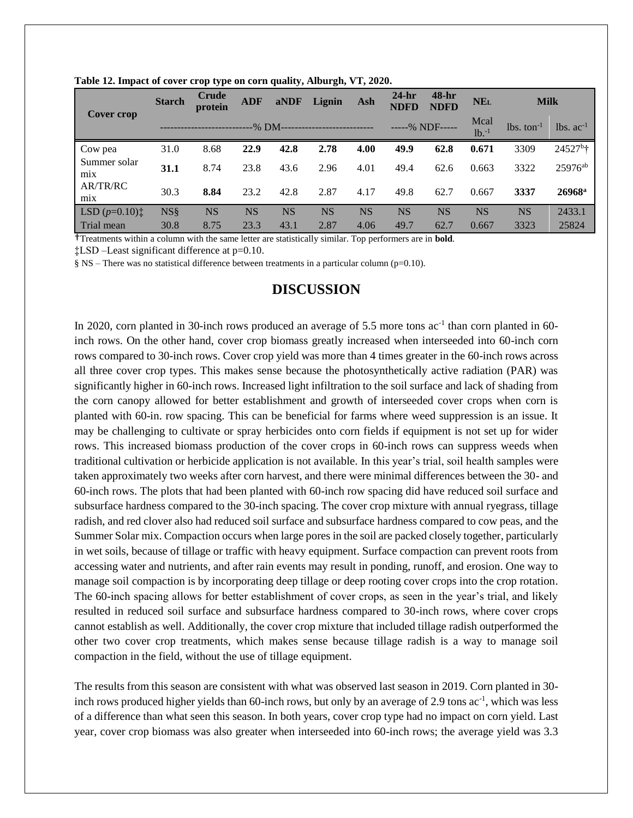| Cover crop                                     | <b>Starch</b>   | Crude<br>protein | <b>ADF</b> | aNDF      | Lignin             | Ash       | $24-hr$<br><b>NDFD</b> | 48-hr<br><b>NDFD</b> | NE <sub>L</sub>            | <b>Milk</b>              |                   |
|------------------------------------------------|-----------------|------------------|------------|-----------|--------------------|-----------|------------------------|----------------------|----------------------------|--------------------------|-------------------|
|                                                |                 |                  | -% DM-     |           | ------------------ |           |                        | -----% NDF-----      | Mcal<br>$1b$ <sub>-1</sub> | $lbs.$ ton <sup>-1</sup> | $lbs. ac-1$       |
| Cow pea                                        | 31.0            | 8.68             | 22.9       | 42.8      | 2.78               | 4.00      | 49.9                   | 62.8                 | 0.671                      | 3309                     | $24527^{\circ}$ † |
| Summer solar<br>mix                            | <b>31.1</b>     | 8.74             | 23.8       | 43.6      | 2.96               | 4.01      | 49.4                   | 62.6                 | 0.663                      | 3322                     | $25976^{ab}$      |
| AR/TR/RC<br>mix                                | 30.3            | 8.84             | 23.2       | 42.8      | 2.87               | 4.17      | 49.8                   | 62.7                 | 0.667                      | 3337                     | $26968^{\rm a}$   |
| LSD $(p=0.10)$ <sup><math>\dagger</math></sup> | NS <sub>8</sub> | <b>NS</b>        | <b>NS</b>  | <b>NS</b> | <b>NS</b>          | <b>NS</b> | <b>NS</b>              | <b>NS</b>            | <b>NS</b>                  | <b>NS</b>                | 2433.1            |
| Trial mean                                     | 30.8            | 8.75             | 23.3       | 43.1      | 2.87               | 4.06      | 49.7                   | 62.7                 | 0.667                      | 3323                     | 25824             |

**Table 12. Impact of cover crop type on corn quality, Alburgh, VT, 2020.**

†Treatments within a column with the same letter are statistically similar. Top performers are in **bold**.

‡LSD –Least significant difference at p=0.10.

 $\S$  NS – There was no statistical difference between treatments in a particular column (p=0.10).

## **DISCUSSION**

In 2020, corn planted in 30-inch rows produced an average of 5.5 more tons ac<sup>-1</sup> than corn planted in 60inch rows. On the other hand, cover crop biomass greatly increased when interseeded into 60-inch corn rows compared to 30-inch rows. Cover crop yield was more than 4 times greater in the 60-inch rows across all three cover crop types. This makes sense because the photosynthetically active radiation (PAR) was significantly higher in 60-inch rows. Increased light infiltration to the soil surface and lack of shading from the corn canopy allowed for better establishment and growth of interseeded cover crops when corn is planted with 60-in. row spacing. This can be beneficial for farms where weed suppression is an issue. It may be challenging to cultivate or spray herbicides onto corn fields if equipment is not set up for wider rows. This increased biomass production of the cover crops in 60-inch rows can suppress weeds when traditional cultivation or herbicide application is not available. In this year's trial, soil health samples were taken approximately two weeks after corn harvest, and there were minimal differences between the 30- and 60-inch rows. The plots that had been planted with 60-inch row spacing did have reduced soil surface and subsurface hardness compared to the 30-inch spacing. The cover crop mixture with annual ryegrass, tillage radish, and red clover also had reduced soil surface and subsurface hardness compared to cow peas, and the Summer Solar mix. Compaction occurs when large pores in the soil are packed closely together, particularly in wet soils, because of tillage or traffic with heavy equipment. Surface compaction can prevent roots from accessing water and nutrients, and after rain events may result in ponding, runoff, and erosion. One way to manage soil compaction is by incorporating deep tillage or deep rooting cover crops into the crop rotation. The 60-inch spacing allows for better establishment of cover crops, as seen in the year's trial, and likely resulted in reduced soil surface and subsurface hardness compared to 30-inch rows, where cover crops cannot establish as well. Additionally, the cover crop mixture that included tillage radish outperformed the other two cover crop treatments, which makes sense because tillage radish is a way to manage soil compaction in the field, without the use of tillage equipment.

The results from this season are consistent with what was observed last season in 2019. Corn planted in 30 inch rows produced higher yields than 60-inch rows, but only by an average of 2.9 tons ac<sup>-1</sup>, which was less of a difference than what seen this season. In both years, cover crop type had no impact on corn yield. Last year, cover crop biomass was also greater when interseeded into 60-inch rows; the average yield was 3.3